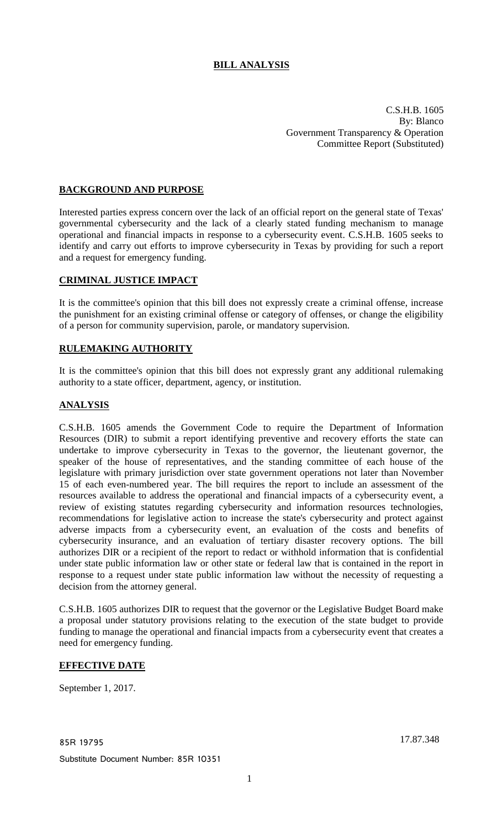# **BILL ANALYSIS**

C.S.H.B. 1605 By: Blanco Government Transparency & Operation Committee Report (Substituted)

# **BACKGROUND AND PURPOSE**

Interested parties express concern over the lack of an official report on the general state of Texas' governmental cybersecurity and the lack of a clearly stated funding mechanism to manage operational and financial impacts in response to a cybersecurity event. C.S.H.B. 1605 seeks to identify and carry out efforts to improve cybersecurity in Texas by providing for such a report and a request for emergency funding.

# **CRIMINAL JUSTICE IMPACT**

It is the committee's opinion that this bill does not expressly create a criminal offense, increase the punishment for an existing criminal offense or category of offenses, or change the eligibility of a person for community supervision, parole, or mandatory supervision.

## **RULEMAKING AUTHORITY**

It is the committee's opinion that this bill does not expressly grant any additional rulemaking authority to a state officer, department, agency, or institution.

## **ANALYSIS**

C.S.H.B. 1605 amends the Government Code to require the Department of Information Resources (DIR) to submit a report identifying preventive and recovery efforts the state can undertake to improve cybersecurity in Texas to the governor, the lieutenant governor, the speaker of the house of representatives, and the standing committee of each house of the legislature with primary jurisdiction over state government operations not later than November 15 of each even-numbered year. The bill requires the report to include an assessment of the resources available to address the operational and financial impacts of a cybersecurity event, a review of existing statutes regarding cybersecurity and information resources technologies, recommendations for legislative action to increase the state's cybersecurity and protect against adverse impacts from a cybersecurity event, an evaluation of the costs and benefits of cybersecurity insurance, and an evaluation of tertiary disaster recovery options. The bill authorizes DIR or a recipient of the report to redact or withhold information that is confidential under state public information law or other state or federal law that is contained in the report in response to a request under state public information law without the necessity of requesting a decision from the attorney general.

C.S.H.B. 1605 authorizes DIR to request that the governor or the Legislative Budget Board make a proposal under statutory provisions relating to the execution of the state budget to provide funding to manage the operational and financial impacts from a cybersecurity event that creates a need for emergency funding.

## **EFFECTIVE DATE**

September 1, 2017.